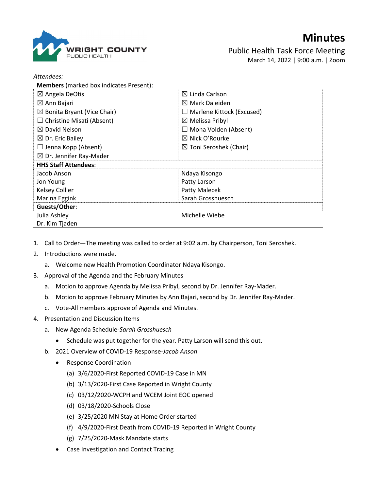

## Minutes

Public Health Task Force Meeting March 14, 2022 | 9:00 a.m. | Zoom

| Attendees:                                     |                                   |
|------------------------------------------------|-----------------------------------|
| <b>Members</b> (marked box indicates Present): |                                   |
| $\boxtimes$ Angela DeOtis                      | $\boxtimes$ Linda Carlson         |
| $\boxtimes$ Ann Bajari                         | $\boxtimes$ Mark Daleiden         |
| $\boxtimes$ Bonita Bryant (Vice Chair)         | Marlene Kittock (Excused)         |
| Christine Misati (Absent)                      | $\boxtimes$ Melissa Pribyl        |
| $\boxtimes$ David Nelson                       | Mona Volden (Absent)              |
| $\boxtimes$ Dr. Eric Bailey                    | $\boxtimes$ Nick O'Rourke         |
| $\Box$ Jenna Kopp (Absent)                     | $\boxtimes$ Toni Seroshek (Chair) |
| $\boxtimes$ Dr. Jennifer Ray-Mader             |                                   |
| <b>HHS Staff Attendees:</b>                    |                                   |
| Jacob Anson                                    | Ndaya Kisongo                     |
| Jon Young                                      | Patty Larson                      |
| Kelsey Collier                                 | <b>Patty Malecek</b>              |
| Marina Eggink                                  | Sarah Grosshuesch                 |
| Guests/Other:                                  |                                   |
| Julia Ashley                                   | Michelle Wiebe                    |
| Dr. Kim Tjaden                                 |                                   |

- 1. Call to Order—The meeting was called to order at 9:02 a.m. by Chairperson, Toni Seroshek.
- 2. Introductions were made.
	- a. Welcome new Health Promotion Coordinator Ndaya Kisongo.
- 3. Approval of the Agenda and the February Minutes
	- a. Motion to approve Agenda by Melissa Pribyl, second by Dr. Jennifer Ray-Mader.
	- b. Motion to approve February Minutes by Ann Bajari, second by Dr. Jennifer Ray-Mader.
	- c. Vote-All members approve of Agenda and Minutes.
- 4. Presentation and Discussion Items
	- a. New Agenda Schedule-Sarah Grosshuesch
		- Schedule was put together for the year. Patty Larson will send this out.
	- b. 2021 Overview of COVID-19 Response-Jacob Anson
		- Response Coordination
			- (a) 3/6/2020-First Reported COVID-19 Case in MN
			- (b) 3/13/2020-First Case Reported in Wright County
			- (c) 03/12/2020-WCPH and WCEM Joint EOC opened
			- (d) 03/18/2020-Schools Close
			- (e) 3/25/2020 MN Stay at Home Order started
			- (f) 4/9/2020-First Death from COVID-19 Reported in Wright County
			- (g) 7/25/2020-Mask Mandate starts
		- Case Investigation and Contact Tracing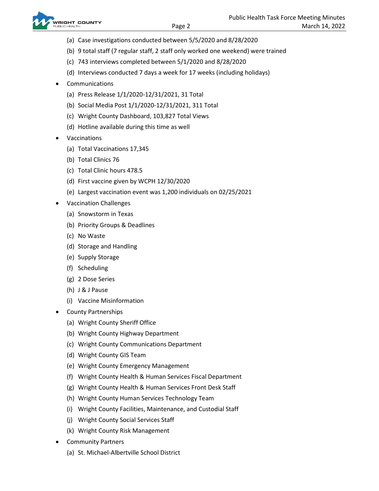

- (a) Case investigations conducted between 5/5/2020 and 8/28/2020
- (b) 9 total staff (7 regular staff, 2 staff only worked one weekend) were trained
- (c) 743 interviews completed between 5/1/2020 and 8/28/2020
- (d) Interviews conducted 7 days a week for 17 weeks (including holidays)
- Communications
	- (a) Press Release 1/1/2020-12/31/2021, 31 Total
	- (b) Social Media Post 1/1/2020-12/31/2021, 311 Total
	- (c) Wright County Dashboard, 103,827 Total Views
	- (d) Hotline available during this time as well
- Vaccinations
	- (a) Total Vaccinations 17,345
	- (b) Total Clinics 76
	- (c) Total Clinic hours 478.5
	- (d) First vaccine given by WCPH 12/30/2020
	- (e) Largest vaccination event was 1,200 individuals on 02/25/2021
- Vaccination Challenges
	- (a) Snowstorm in Texas
	- (b) Priority Groups & Deadlines
	- (c) No Waste
	- (d) Storage and Handling
	- (e) Supply Storage
	- (f) Scheduling
	- (g) 2 Dose Series
	- (h) J & J Pause
	- (i) Vaccine Misinformation
- County Partnerships
	- (a) Wright County Sheriff Office
	- (b) Wright County Highway Department
	- (c) Wright County Communications Department
	- (d) Wright County GIS Team
	- (e) Wright County Emergency Management
	- (f) Wright County Health & Human Services Fiscal Department
	- (g) Wright County Health & Human Services Front Desk Staff
	- (h) Wright County Human Services Technology Team
	- (i) Wright County Facilities, Maintenance, and Custodial Staff
	- (j) Wright County Social Services Staff
	- (k) Wright County Risk Management
- Community Partners
	- (a) St. Michael-Albertville School District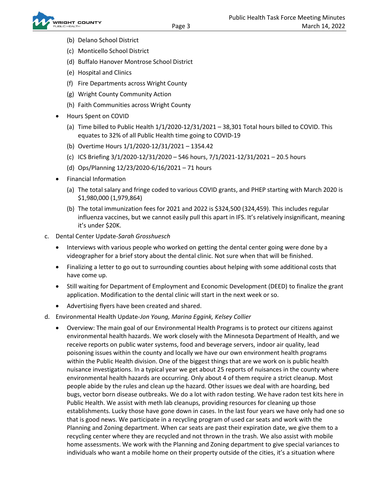- (b) Delano School District
- (c) Monticello School District
- (d) Buffalo Hanover Montrose School District
- (e) Hospital and Clinics
- (f) Fire Departments across Wright County
- (g) Wright County Community Action
- (h) Faith Communities across Wright County
- Hours Spent on COVID
	- (a) Time billed to Public Health 1/1/2020-12/31/2021 38,301 Total hours billed to COVID. This equates to 32% of all Public Health time going to COVID-19
	- (b) Overtime Hours 1/1/2020-12/31/2021 1354.42
	- (c) ICS Briefing 3/1/2020-12/31/2020 546 hours, 7/1/2021-12/31/2021 20.5 hours
	- (d) Ops/Planning 12/23/2020-6/16/2021 71 hours
- Financial Information
	- (a) The total salary and fringe coded to various COVID grants, and PHEP starting with March 2020 is \$1,980,000 (1,979,864)
	- (b) The total immunization fees for 2021 and 2022 is \$324,500 (324,459). This includes regular influenza vaccines, but we cannot easily pull this apart in IFS. It's relatively insignificant, meaning it's under \$20K.
- c. Dental Center Update-Sarah Grosshuesch
	- Interviews with various people who worked on getting the dental center going were done by a videographer for a brief story about the dental clinic. Not sure when that will be finished.
	- Finalizing a letter to go out to surrounding counties about helping with some additional costs that have come up.
	- Still waiting for Department of Employment and Economic Development (DEED) to finalize the grant application. Modification to the dental clinic will start in the next week or so.
	- Advertising flyers have been created and shared.
- d. Environmental Health Update-Jon Young, Marina Eggink, Kelsey Collier
	- Overview: The main goal of our Environmental Health Programs is to protect our citizens against environmental health hazards. We work closely with the Minnesota Department of Health, and we receive reports on public water systems, food and beverage servers, indoor air quality, lead poisoning issues within the county and locally we have our own environment health programs within the Public Health division. One of the biggest things that are we work on is public health nuisance investigations. In a typical year we get about 25 reports of nuisances in the county where environmental health hazards are occurring. Only about 4 of them require a strict cleanup. Most people abide by the rules and clean up the hazard. Other issues we deal with are hoarding, bed bugs, vector born disease outbreaks. We do a lot with radon testing. We have radon test kits here in Public Health. We assist with meth lab cleanups, providing resources for cleaning up those establishments. Lucky those have gone down in cases. In the last four years we have only had one so that is good news. We participate in a recycling program of used car seats and work with the Planning and Zoning department. When car seats are past their expiration date, we give them to a recycling center where they are recycled and not thrown in the trash. We also assist with mobile home assessments. We work with the Planning and Zoning department to give special variances to individuals who want a mobile home on their property outside of the cities, it's a situation where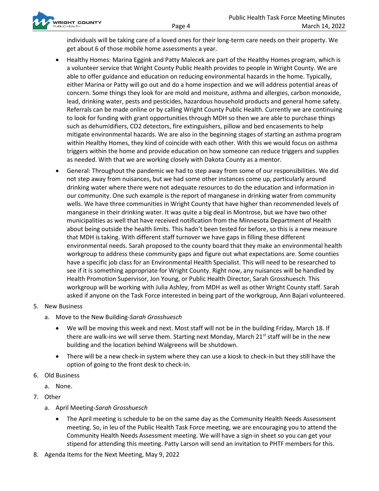

individuals will be taking care of a loved ones for their long-term care needs on their property. We get about 6 of those mobile home assessments a year.

- Healthy Homes: Marina Eggink and Patty Malecek are part of the Healthy Homes program, which is a volunteer service that Wright County Public Health provides to people in Wright County. We are able to offer guidance and education on reducing environmental hazards in the home. Typically, either Marina or Patty will go out and do a home inspection and we will address potential areas of concern. Some things they look for are mold and moisture, asthma and allergies, carbon monoxide, lead, drinking water, pests and pesticides, hazardous household products and general home safety. Referrals can be made online or by calling Wright County Public Health. Currently we are continuing to look for funding with grant opportunities through MDH so then we are able to purchase things such as dehumidifiers, CO2 detectors, fire extinguishers, pillow and bed encasements to help mitigate environmental hazards. We are also in the beginning stages of starting an asthma program within Healthy Homes, they kind of coincide with each other. With this we would focus on asthma triggers within the home and provide education on how someone can reduce triggers and supplies as needed. With that we are working closely with Dakota County as a mentor.
- General: Throughout the pandemic we had to step away from some of our responsibilities. We did not step away from nuisances, but we had some other instances come up, particularly around drinking water where there were not adequate resources to do the education and information in our community. One such example is the report of manganese in drinking water from community wells. We have three communities in Wright County that have higher than recommended levels of manganese in their drinking water. It was quite a big deal in Montrose, but we have two other municipalities as well that have received notification from the Minnesota Department of Health about being outside the health limits. This hadn't been tested for before, so this is a new measure that MDH is taking. With different staff turnover we have gaps in filling these different environmental needs. Sarah proposed to the county board that they make an environmental health workgroup to address these community gaps and figure out what expectations are. Some counties have a specific job class for an Environmental Health Specialist. This will need to be researched to see if it is something appropriate for Wright County. Right now, any nuisances will be handled by Health Promotion Supervisor, Jon Young, or Public Health Director, Sarah Grosshuesch. This workgroup will be working with Julia Ashley, from MDH as well as other Wright County staff. Sarah asked if anyone on the Task Force interested in being part of the workgroup, Ann Bajari volunteered.

## 5. New Business

- a. Move to the New Building-Sarah Grosshuesch
	- We will be moving this week and next. Most staff will not be in the building Friday, March 18. If there are walk-ins we will serve them. Starting next Monday, March  $21<sup>st</sup>$  staff will be in the new building and the location behind Walgreens will be shutdown.
	- There will be a new check-in system where they can use a kiosk to check-in but they still have the option of going to the front desk to check-in.
- 6. Old Business
	- a. None.
- 7. Other
	- a. April Meeting-Sarah Grosshuesch
		- The April meeting is schedule to be on the same day as the Community Health Needs Assessment meeting. So, in leu of the Public Health Task Force meeting, we are encouraging you to attend the Community Health Needs Assessment meeting. We will have a sign-in sheet so you can get your stipend for attending this meeting. Patty Larson will send an invitation to PHTF members for this.
- 8. Agenda Items for the Next Meeting, May 9, 2022